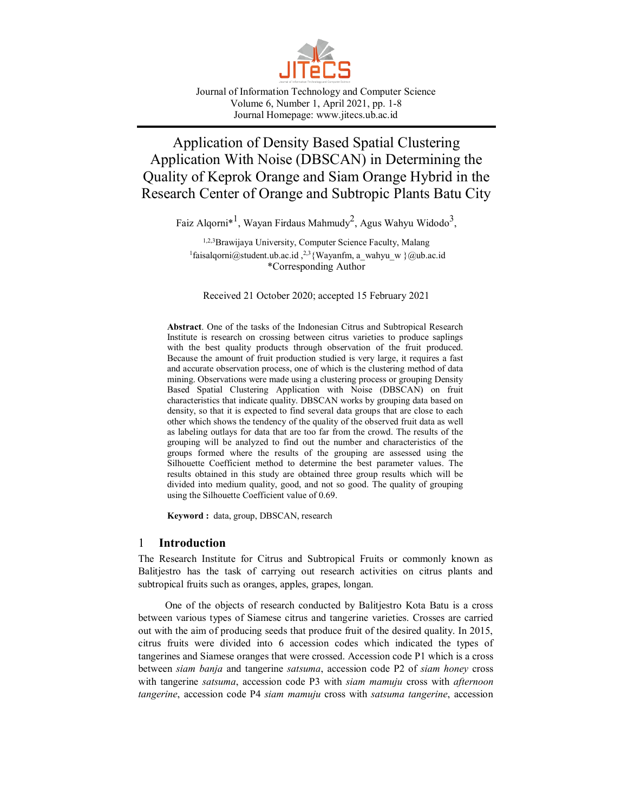

Journal of Information Technology and Computer Science Volume 6, Number 1, April 2021, pp. 1-8 Journal Homepage: www.jitecs.ub.ac.id

# Application of Density Based Spatial Clustering Application With Noise (DBSCAN) in Determining the Quality of Keprok Orange and Siam Orange Hybrid in the Research Center of Orange and Subtropic Plants Batu City

Faiz Alqorni $^{\ast}{}^{l}$ , Wayan Firdaus Mahmudy $^2$ , Agus Wahyu Widodo $^3,$ 

1,2,3 Brawijaya University, Computer Science Faculty, Malang <sup>1</sup>faisalqorni@student.ub.ac.id,<sup>2,3</sup>{Wayanfm, a\_wahyu\_w }@ub.ac.id \*Corresponding Author

Received 21 October 2020; accepted 15 February 2021

**Abstract**. One of the tasks of the Indonesian Citrus and Subtropical Research Institute is research on crossing between citrus varieties to produce saplings with the best quality products through observation of the fruit produced. Because the amount of fruit production studied is very large, it requires a fast and accurate observation process, one of which is the clustering method of data mining. Observations were made using a clustering process or grouping Density Based Spatial Clustering Application with Noise (DBSCAN) on fruit characteristics that indicate quality. DBSCAN works by grouping data based on density, so that it is expected to find several data groups that are close to each other which shows the tendency of the quality of the observed fruit data as well as labeling outlays for data that are too far from the crowd. The results of the grouping will be analyzed to find out the number and characteristics of the groups formed where the results of the grouping are assessed using the Silhouette Coefficient method to determine the best parameter values. The results obtained in this study are obtained three group results which will be divided into medium quality, good, and not so good. The quality of grouping using the Silhouette Coefficient value of 0.69.

**Keyword :** data, group, DBSCAN, research

# 1 **Introduction**

The Research Institute for Citrus and Subtropical Fruits or commonly known as Balitjestro has the task of carrying out research activities on citrus plants and subtropical fruits such as oranges, apples, grapes, longan.

One of the objects of research conducted by Balitjestro Kota Batu is a cross between various types of Siamese citrus and tangerine varieties. Crosses are carried out with the aim of producing seeds that produce fruit of the desired quality. In 2015, citrus fruits were divided into 6 accession codes which indicated the types of tangerines and Siamese oranges that were crossed. Accession code P1 which is a cross between *siam banja* and tangerine *satsuma*, accession code P2 of *siam honey* cross with tangerine *satsuma*, accession code P3 with *siam mamuju* cross with *afternoon tangerine*, accession code P4 *siam mamuju* cross with *satsuma tangerine*, accession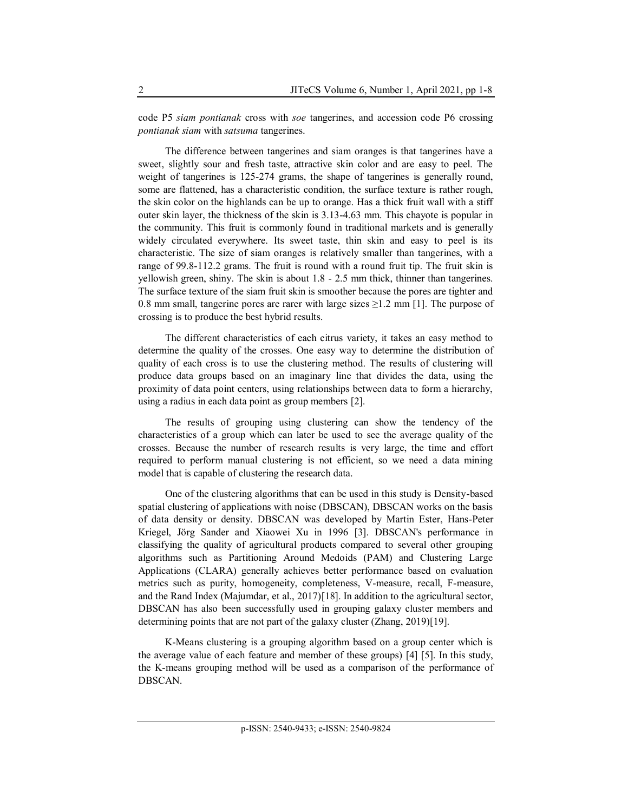code P5 *siam pontianak* cross with *soe* tangerines, and accession code P6 crossing *pontianak siam* with *satsuma* tangerines.

The difference between tangerines and siam oranges is that tangerines have a sweet, slightly sour and fresh taste, attractive skin color and are easy to peel. The weight of tangerines is 125-274 grams, the shape of tangerines is generally round, some are flattened, has a characteristic condition, the surface texture is rather rough, the skin color on the highlands can be up to orange. Has a thick fruit wall with a stiff outer skin layer, the thickness of the skin is 3.13-4.63 mm. This chayote is popular in the community. This fruit is commonly found in traditional markets and is generally widely circulated everywhere. Its sweet taste, thin skin and easy to peel is its characteristic. The size of siam oranges is relatively smaller than tangerines, with a range of 99.8-112.2 grams. The fruit is round with a round fruit tip. The fruit skin is yellowish green, shiny. The skin is about 1.8 - 2.5 mm thick, thinner than tangerines. The surface texture of the siam fruit skin is smoother because the pores are tighter and 0.8 mm small, tangerine pores are rarer with large sizes  $\geq$ 1.2 mm [1]. The purpose of crossing is to produce the best hybrid results.

The different characteristics of each citrus variety, it takes an easy method to determine the quality of the crosses. One easy way to determine the distribution of quality of each cross is to use the clustering method. The results of clustering will produce data groups based on an imaginary line that divides the data, using the proximity of data point centers, using relationships between data to form a hierarchy, using a radius in each data point as group members [2].

The results of grouping using clustering can show the tendency of the characteristics of a group which can later be used to see the average quality of the crosses. Because the number of research results is very large, the time and effort required to perform manual clustering is not efficient, so we need a data mining model that is capable of clustering the research data.

One of the clustering algorithms that can be used in this study is Density-based spatial clustering of applications with noise (DBSCAN), DBSCAN works on the basis of data density or density. DBSCAN was developed by Martin Ester, Hans-Peter Kriegel, Jörg Sander and Xiaowei Xu in 1996 [3]. DBSCAN's performance in classifying the quality of agricultural products compared to several other grouping algorithms such as Partitioning Around Medoids (PAM) and Clustering Large Applications (CLARA) generally achieves better performance based on evaluation metrics such as purity, homogeneity, completeness, V-measure, recall, F-measure, and the Rand Index (Majumdar, et al., 2017)[18]. In addition to the agricultural sector, DBSCAN has also been successfully used in grouping galaxy cluster members and determining points that are not part of the galaxy cluster (Zhang, 2019)[19].

K-Means clustering is a grouping algorithm based on a group center which is the average value of each feature and member of these groups) [4] [5]. In this study, the K-means grouping method will be used as a comparison of the performance of DBSCAN.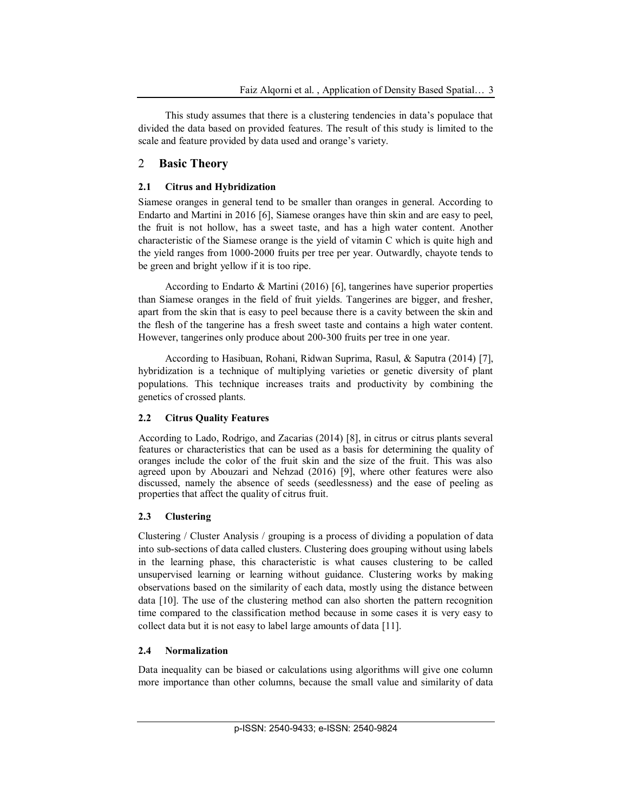This study assumes that there is a clustering tendencies in data's populace that divided the data based on provided features. The result of this study is limited to the scale and feature provided by data used and orange's variety.

# 2 **Basic Theory**

# **2.1 Citrus and Hybridization**

Siamese oranges in general tend to be smaller than oranges in general. According to Endarto and Martini in 2016 [6], Siamese oranges have thin skin and are easy to peel, the fruit is not hollow, has a sweet taste, and has a high water content. Another characteristic of the Siamese orange is the yield of vitamin C which is quite high and the yield ranges from 1000-2000 fruits per tree per year. Outwardly, chayote tends to be green and bright yellow if it is too ripe.

According to Endarto & Martini (2016) [6], tangerines have superior properties than Siamese oranges in the field of fruit yields. Tangerines are bigger, and fresher, apart from the skin that is easy to peel because there is a cavity between the skin and the flesh of the tangerine has a fresh sweet taste and contains a high water content. However, tangerines only produce about 200-300 fruits per tree in one year.

According to Hasibuan, Rohani, Ridwan Suprima, Rasul, & Saputra (2014) [7], hybridization is a technique of multiplying varieties or genetic diversity of plant populations. This technique increases traits and productivity by combining the genetics of crossed plants.

# **2.2 Citrus Quality Features**

According to Lado, Rodrigo, and Zacarias (2014) [8], in citrus or citrus plants several features or characteristics that can be used as a basis for determining the quality of oranges include the color of the fruit skin and the size of the fruit. This was also agreed upon by Abouzari and Nehzad (2016) [9], where other features were also discussed, namely the absence of seeds (seedlessness) and the ease of peeling as properties that affect the quality of citrus fruit.

# **2.3 Clustering**

Clustering / Cluster Analysis / grouping is a process of dividing a population of data into sub-sections of data called clusters. Clustering does grouping without using labels in the learning phase, this characteristic is what causes clustering to be called unsupervised learning or learning without guidance. Clustering works by making observations based on the similarity of each data, mostly using the distance between data [10]. The use of the clustering method can also shorten the pattern recognition time compared to the classification method because in some cases it is very easy to collect data but it is not easy to label large amounts of data [11].

# **2.4 Normalization**

Data inequality can be biased or calculations using algorithms will give one column more importance than other columns, because the small value and similarity of data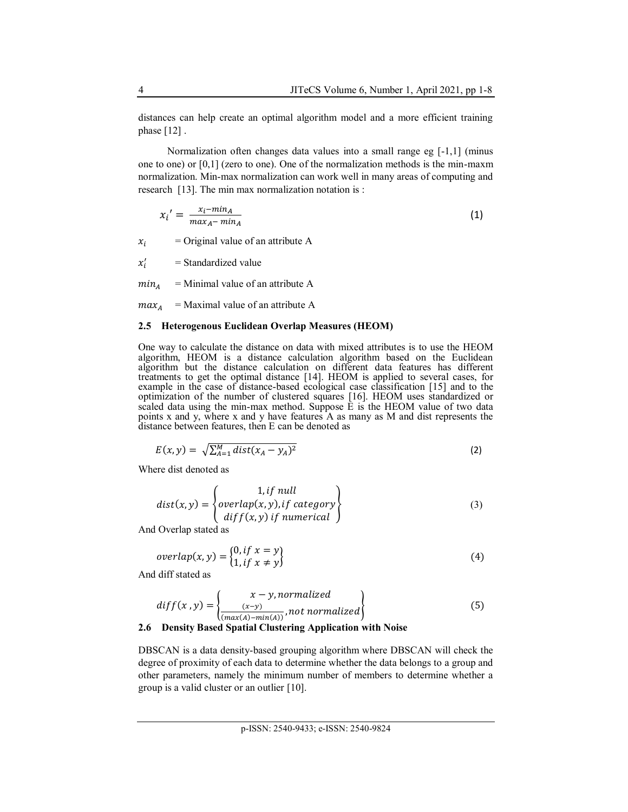distances can help create an optimal algorithm model and a more efficient training phase [12] .

Normalization often changes data values into a small range eg [-1,1] (minus one to one) or [0,1] (zero to one). One of the normalization methods is the min-maxm normalization. Min-max normalization can work well in many areas of computing and research [13]. The min max normalization notation is :

$$
x_i' = \frac{x_i - \min_A}{\max_A - \min_A} \tag{1}
$$

 $x_i$  = Original value of an attribute A

 $x_i'$ = Standardized value

 $min<sub>4</sub>$  = Minimal value of an attribute A

 $max<sub>A</sub>$  = Maximal value of an attribute A

#### **2.5 Heterogenous Euclidean Overlap Measures (HEOM)**

One way to calculate the distance on data with mixed attributes is to use the HEOM algorithm, HEOM is a distance calculation algorithm based on the Euclidean algorithm but the distance calculation on different data features has different treatments to get the optimal distance [14]. HEOM is applied to several cases, for example in the case of distance-based ecological case classification [15] and to the optimization of the number of clustered squares [16]. HEOM uses standardized or scaled data using the min-max method. Suppose  $\tilde{E}$  is the HEOM value of two data points x and y, where x and y have features A as many as M and dist represents the distance between features, then E can be denoted as

$$
E(x, y) = \sqrt{\sum_{A=1}^{M} dist(x_A - y_A)^2}
$$
 (2)

Where dist denoted as

$$
dist(x, y) = \begin{cases} 1, if \text{ null} \\ overlap(x, y), if \text{ category} \\ diff(x, y) \text{ if numerical} \end{cases}
$$
 (3)

And Overlap stated as

$$
overlap(x, y) = \begin{cases} 0, & if \ x = y \\ 1, & if \ x \neq y \end{cases}
$$
 (4)

And diff stated as

$$
diff(x, y) = \left\{ \frac{x - y, normalized}{\frac{(x - y)}{(max(A) - min(A))}, not normalized} \right\}
$$
(5)

#### **2.6 Density Based Spatial Clustering Application with Noise**

DBSCAN is a data density-based grouping algorithm where DBSCAN will check the degree of proximity of each data to determine whether the data belongs to a group and other parameters, namely the minimum number of members to determine whether a group is a valid cluster or an outlier [10].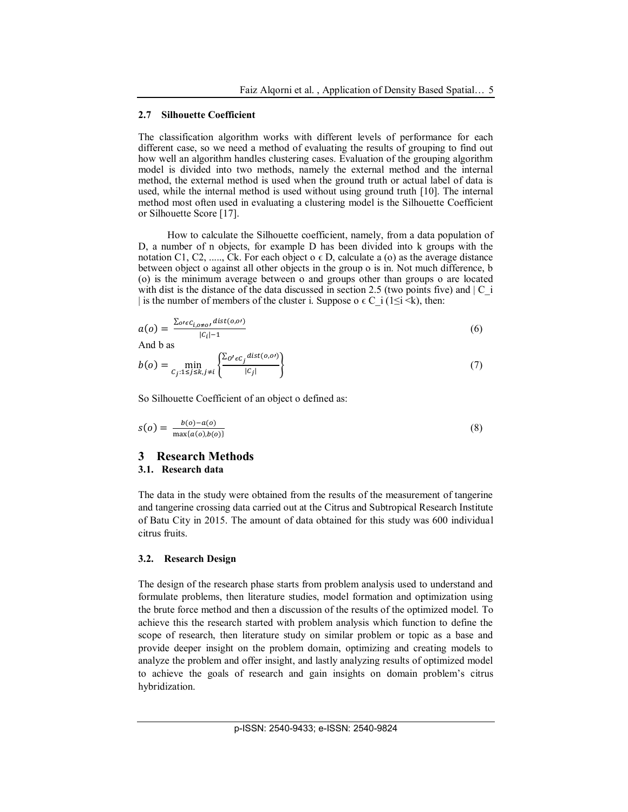#### **2.7 Silhouette Coefficient**

The classification algorithm works with different levels of performance for each different case, so we need a method of evaluating the results of grouping to find out how well an algorithm handles clustering cases. Evaluation of the grouping algorithm model is divided into two methods, namely the external method and the internal method, the external method is used when the ground truth or actual label of data is used, while the internal method is used without using ground truth [10]. The internal method most often used in evaluating a clustering model is the Silhouette Coefficient or Silhouette Score [17].

How to calculate the Silhouette coefficient, namely, from a data population of D, a number of n objects, for example D has been divided into k groups with the notation C1, C2, ....., Ck. For each object  $o \in D$ , calculate a (o) as the average distance between object o against all other objects in the group o is in. Not much difference, b (o) is the minimum average between o and groups other than groups o are located with dist is the distance of the data discussed in section 2.5 (two points five) and  $|C_i|$ | is the number of members of the cluster i. Suppose o  $\epsilon$  C\_i (1 $\leq i \leq k$ ), then:

$$
a(o) = \frac{\sum_{o \in C_{i,o \neq o}} \text{dist}(o,o)}{|c_i| - 1}
$$
\n
$$
(6)
$$

And b as

$$
b(o) = \min_{C_j: 1 \le j \le k, j \ne i} \left\{ \frac{\sum_{o' \in C_j} dist(o, o')}{|C_j|} \right\} \tag{7}
$$

So Silhouette Coefficient of an object o defined as:

$$
s(o) = \frac{b(o) - a(o)}{\max\{a(o), b(o)\}}\tag{8}
$$

# **3 Research Methods**

### **3.1. Research data**

The data in the study were obtained from the results of the measurement of tangerine and tangerine crossing data carried out at the Citrus and Subtropical Research Institute of Batu City in 2015. The amount of data obtained for this study was 600 individual citrus fruits.

#### **3.2. Research Design**

The design of the research phase starts from problem analysis used to understand and formulate problems, then literature studies, model formation and optimization using the brute force method and then a discussion of the results of the optimized model. To achieve this the research started with problem analysis which function to define the scope of research, then literature study on similar problem or topic as a base and provide deeper insight on the problem domain, optimizing and creating models to analyze the problem and offer insight, and lastly analyzing results of optimized model to achieve the goals of research and gain insights on domain problem's citrus hybridization.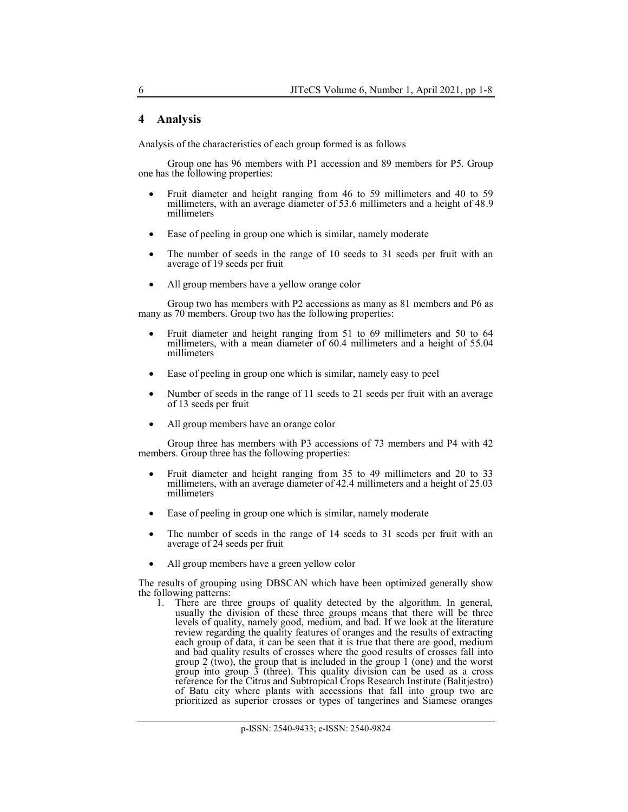# **4 Analysis**

Analysis of the characteristics of each group formed is as follows

Group one has 96 members with P1 accession and 89 members for P5. Group one has the following properties:

- Fruit diameter and height ranging from 46 to 59 millimeters and 40 to 59 millimeters, with an average diameter of 53.6 millimeters and a height of 48.9 millimeters
- Ease of peeling in group one which is similar, namely moderate
- The number of seeds in the range of 10 seeds to 31 seeds per fruit with an average of 19 seeds per fruit
- All group members have a yellow orange color

Group two has members with P2 accessions as many as 81 members and P6 as many as 70 members. Group two has the following properties:

- Fruit diameter and height ranging from 51 to 69 millimeters and 50 to 64 millimeters, with a mean diameter of 60.4 millimeters and a height of 55.04 millimeters
- Ease of peeling in group one which is similar, namely easy to peel
- Number of seeds in the range of 11 seeds to 21 seeds per fruit with an average of 13 seeds per fruit
- All group members have an orange color

Group three has members with P3 accessions of 73 members and P4 with 42 members. Group three has the following properties:

- Fruit diameter and height ranging from 35 to 49 millimeters and 20 to 33 millimeters, with an average diameter of 42.4 millimeters and a height of 25.03 millimeters
- Ease of peeling in group one which is similar, namely moderate
- The number of seeds in the range of 14 seeds to 31 seeds per fruit with an average of 24 seeds per fruit
- All group members have a green yellow color

The results of grouping using DBSCAN which have been optimized generally show the following patterns:

1. There are three groups of quality detected by the algorithm. In general, usually the division of these three groups means that there will be three levels of quality, namely good, medium, and bad. If we look at the literature review regarding the quality features of oranges and the results of extracting each group of data, it can be seen that it is true that there are good, medium and bad quality results of crosses where the good results of crosses fall into group 2 (two), the group that is included in the group 1 (one) and the worst group into group  $\overline{3}$  (three). This quality division can be used as a cross reference for the Citrus and Subtropical Crops Research Institute (Balitjestro) of Batu city where plants with accessions that fall into group two are prioritized as superior crosses or types of tangerines and Siamese oranges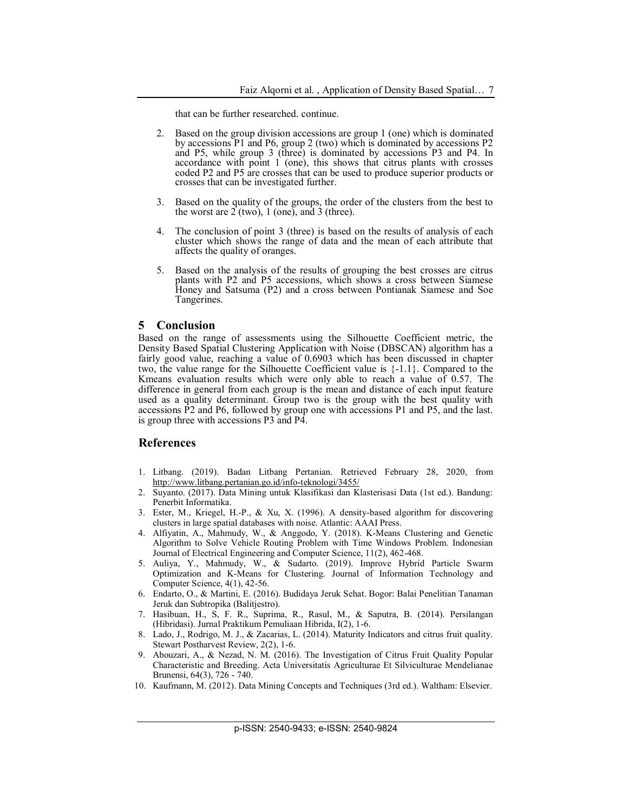that can be further researched. continue.

- 2. Based on the group division accessions are group 1 (one) which is dominated by accessions P1 and P6, group 2 (two) which is dominated by accessions P2 and P5, while group 3 (three) is dominated by accessions P3 and P4. In accordance with point  $1$  (one), this shows that citrus plants with crosses coded P2 and P5 are crosses that can be used to produce superior products or crosses that can be investigated further.
- 3. Based on the quality of the groups, the order of the clusters from the best to the worst are 2 (two), 1 (one), and 3 (three).
- 4. The conclusion of point 3 (three) is based on the results of analysis of each cluster which shows the range of data and the mean of each attribute that affects the quality of oranges.
- 5. Based on the analysis of the results of grouping the best crosses are citrus plants with P2 and P5 accessions, which shows a cross between Siamese Honey and Satsuma (P2) and a cross between Pontianak Siamese and Soe Tangerines.

#### **5 Conclusion**

Based on the range of assessments using the Silhouette Coefficient metric, the Density Based Spatial Clustering Application with Noise (DBSCAN) algorithm has a fairly good value, reaching a value of 0.6903 which has been discussed in chapter two, the value range for the Silhouette Coefficient value is {-1.1}. Compared to the Kmeans evaluation results which were only able to reach a value of 0.57. The difference in general from each group is the mean and distance of each input feature used as a quality determinant. Group two is the group with the best quality with accessions P2 and P6, followed by group one with accessions P1 and P5, and the last. is group three with accessions P3 and P4.

#### **References**

- 1. Litbang. (2019). Badan Litbang Pertanian. Retrieved February 28, 2020, from <http://www.litbang.pertanian.go.id/info-teknologi/3455/>
- 2. Suyanto. (2017). Data Mining untuk Klasifikasi dan Klasterisasi Data (1st ed.). Bandung: Penerbit Informatika.
- 3. Ester, M., Kriegel, H.-P., & Xu, X. (1996). A density-based algorithm for discovering clusters in large spatial databases with noise. Atlantic: AAAI Press.
- 4. Alfiyatin, A., Mahmudy, W., & Anggodo, Y. (2018). K-Means Clustering and Genetic Algorithm to Solve Vehicle Routing Problem with Time Windows Problem. Indonesian Journal of Electrical Engineering and Computer Science, 11(2), 462-468.
- 5. Auliya, Y., Mahmudy, W., & Sudarto. (2019). Improve Hybrid Particle Swarm Optimization and K-Means for Clustering. Journal of Information Technology and Computer Science, 4(1), 42-56.
- 6. Endarto, O., & Martini, E. (2016). Budidaya Jeruk Sehat. Bogor: Balai Penelitian Tanaman Jeruk dan Subtropika (Balitjestro).
- 7. Hasibuan, H., S, F. R., Suprima, R., Rasul, M., & Saputra, B. (2014). Persilangan (Hibridasi). Jurnal Praktikum Pemuliaan Hibrida, I(2), 1-6.
- 8. Lado, J., Rodrigo, M. J., & Zacarias, L. (2014). Maturity Indicators and citrus fruit quality. Stewart Postharvest Review, 2(2), 1-6.
- 9. Abouzari, A., & Nezad, N. M. (2016). The Investigation of Citrus Fruit Quality Popular Characteristic and Breeding. Acta Universitatis Agriculturae Et Silviculturae Mendelianae Brunensi, 64(3), 726 - 740.
- 10. Kaufmann, M. (2012). Data Mining Concepts and Techniques (3rd ed.). Waltham: Elsevier.